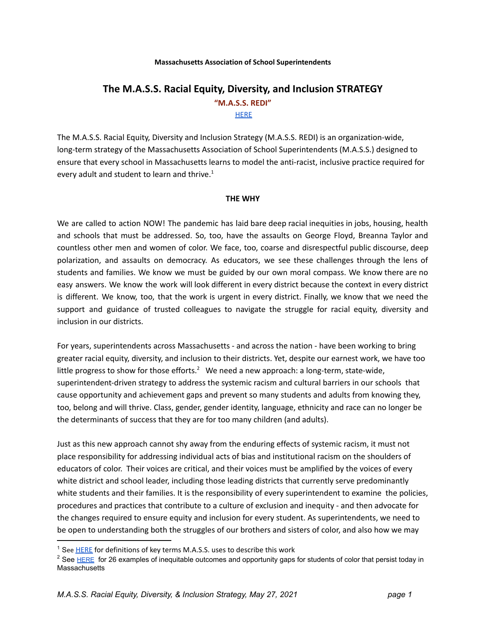#### **Massachusetts Association of School Superintendents**

# **The M.A.S.S. Racial Equity, Diversity, and Inclusion STRATEGY "M.A.S.S. REDI" [HERE](https://docs.google.com/document/d/1V3YImiMVNsG-Ldedt4QHLzi-HYz5jJBUbvm8oNCKBks/edit?usp=sharing)**

The M.A.S.S. Racial Equity, Diversity and Inclusion Strategy (M.A.S.S. REDI) is an organization-wide, long-term strategy of the Massachusetts Association of School Superintendents (M.A.S.S.) designed to ensure that every school in Massachusetts learns to model the anti-racist, inclusive practice required for every adult and student to learn and thrive.<sup>1</sup>

#### **THE WHY**

We are called to action NOW! The pandemic has laid bare deep racial inequities in jobs, housing, health and schools that must be addressed. So, too, have the assaults on George Floyd, Breanna Taylor and countless other men and women of color. We face, too, coarse and disrespectful public discourse, deep polarization, and assaults on democracy. As educators, we see these challenges through the lens of students and families. We know we must be guided by our own moral compass. We know there are no easy answers. We know the work will look different in every district because the context in every district is different. We know, too, that the work is urgent in every district. Finally, we know that we need the support and guidance of trusted colleagues to navigate the struggle for racial equity, diversity and inclusion in our districts.

For years, superintendents across Massachusetts - and across the nation - have been working to bring greater racial equity, diversity, and inclusion to their districts. Yet, despite our earnest work, we have too little progress to show for those efforts.<sup>2</sup> We need a new approach: a long-term, state-wide, superintendent-driven strategy to address the systemic racism and cultural barriers in our schools that cause opportunity and achievement gaps and prevent so many students and adults from knowing they, too, belong and will thrive. Class, gender, gender identity, language, ethnicity and race can no longer be the determinants of success that they are for too many children (and adults).

Just as this new approach cannot shy away from the enduring effects of systemic racism, it must not place responsibility for addressing individual acts of bias and institutional racism on the shoulders of educators of color. Their voices are critical, and their voices must be amplified by the voices of every white district and school leader, including those leading districts that currently serve predominantly white students and their families. It is the responsibility of every superintendent to examine the policies, procedures and practices that contribute to a culture of exclusion and inequity - and then advocate for the changes required to ensure equity and inclusion for every student. As superintendents, we need to be open to understanding both the struggles of our brothers and sisters of color, and also how we may

<sup>&</sup>lt;sup>1</sup> See **[HERE](https://drive.google.com/file/d/1YhZglYscLIpxPUWLf3yHAP0Itwju01OT/view?usp=sharing)** for definitions of key terms M.A.S.S. uses to describe this work

<sup>&</sup>lt;sup>2</sup> See [HERE](https://docs.google.com/document/d/1VlnlbIltZn_DJvFgkaLrW5ASuAyuU2tl4J3EIAhoGbM/edit?usp=sharing) for 26 examples of inequitable outcomes and opportunity gaps for students of color that persist today in **Massachusetts**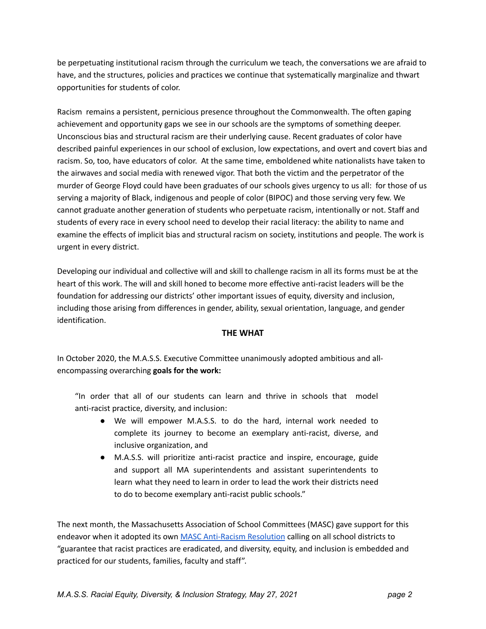be perpetuating institutional racism through the curriculum we teach, the conversations we are afraid to have, and the structures, policies and practices we continue that systematically marginalize and thwart opportunities for students of color.

Racism remains a persistent, pernicious presence throughout the Commonwealth. The often gaping achievement and opportunity gaps we see in our schools are the symptoms of something deeper. Unconscious bias and structural racism are their underlying cause. Recent graduates of color have described painful experiences in our school of exclusion, low expectations, and overt and covert bias and racism. So, too, have educators of color. At the same time, emboldened white nationalists have taken to the airwaves and social media with renewed vigor. That both the victim and the perpetrator of the murder of George Floyd could have been graduates of our schools gives urgency to us all: for those of us serving a majority of Black, indigenous and people of color (BIPOC) and those serving very few. We cannot graduate another generation of students who perpetuate racism, intentionally or not. Staff and students of every race in every school need to develop their racial literacy: the ability to name and examine the effects of implicit bias and structural racism on society, institutions and people. The work is urgent in every district.

Developing our individual and collective will and skill to challenge racism in all its forms must be at the heart of this work. The will and skill honed to become more effective anti-racist leaders will be the foundation for addressing our districts' other important issues of equity, diversity and inclusion, including those arising from differences in gender, ability, sexual orientation, language, and gender identification.

### **THE WHAT**

In October 2020, the M.A.S.S. Executive Committee unanimously adopted ambitious and allencompassing overarching **goals for the work:**

"In order that all of our students can learn and thrive in schools that model anti-racist practice, diversity, and inclusion:

- We will empower M.A.S.S. to do the hard, internal work needed to complete its journey to become an exemplary anti-racist, diverse, and inclusive organization, and
- M.A.S.S. will prioritize anti-racist practice and inspire, encourage, guide and support all MA superintendents and assistant superintendents to learn what they need to learn in order to lead the work their districts need to do to become exemplary anti-racist public schools."

The next month, the Massachusetts Association of School Committees (MASC) gave support for this endeavor when it adopted its own **MASC [Anti-Racism](https://docs.google.com/document/d/1y5jGOJd3RjjM3YeSF5D9swOkFrZEISWyb-eCqzpb1DM/edit?usp=sharing) Resolution calling on all school districts to** "guarantee that racist practices are eradicated, and diversity, equity, and inclusion is embedded and practiced for our students, families, faculty and staff".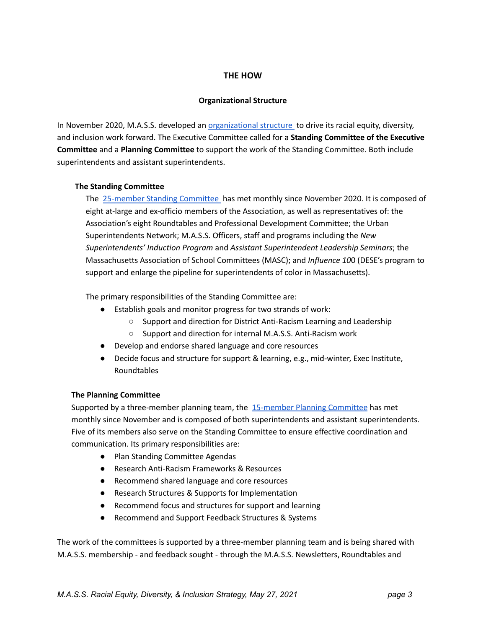### **THE HOW**

### **Organizational Structure**

In November 2020, M.A.S.S. developed an *[organizational](https://drive.google.com/file/d/11cechH6x6CJ7wt4oBi1YguBq7das7H6t/view?usp=sharing) structure* to drive its racial equity, diversity, and inclusion work forward. The Executive Committee called for a **Standing Committee of the Executive Committee** and a **Planning Committee** to support the work of the Standing Committee. Both include superintendents and assistant superintendents.

#### **The Standing Committee**

The [25-member](https://drive.google.com/file/d/1Xx0N4ZWboNPywZ3jdgmnTDpMsIb5YW8T/view?usp=sharing) Standing Committee has met monthly since November 2020. It is composed of eight at-large and ex-officio members of the Association, as well as representatives of: the Association's eight Roundtables and Professional Development Committee; the Urban Superintendents Network; M.A.S.S. Officers, staff and programs including the *New Superintendents' Induction Program* and *Assistant Superintendent Leadership Seminars*; the Massachusetts Association of School Committees (MASC); and *Influence 10*0 (DESE's program to support and enlarge the pipeline for superintendents of color in Massachusetts).

The primary responsibilities of the Standing Committee are:

- Establish goals and monitor progress for two strands of work:
	- Support and direction for District Anti-Racism Learning and Leadership
	- Support and direction for internal M.A.S.S. Anti-Racism work
- Develop and endorse shared language and core resources
- Decide focus and structure for support & learning, e.g., mid-winter, Exec Institute, Roundtables

### **The Planning Committee**

Supported by a three-member planning team, the [15-member](https://drive.google.com/file/d/1Xx0N4ZWboNPywZ3jdgmnTDpMsIb5YW8T/view?usp=sharing) Planning Committee has met monthly since November and is composed of both superintendents and assistant superintendents. Five of its members also serve on the Standing Committee to ensure effective coordination and communication. Its primary responsibilities are:

- Plan Standing Committee Agendas
- Research Anti-Racism Frameworks & Resources
- Recommend shared language and core resources
- Research Structures & Supports for Implementation
- Recommend focus and structures for support and learning
- Recommend and Support Feedback Structures & Systems

The work of the committees is supported by a three-member planning team and is being shared with M.A.S.S. membership - and feedback sought - through the M.A.S.S. Newsletters, Roundtables and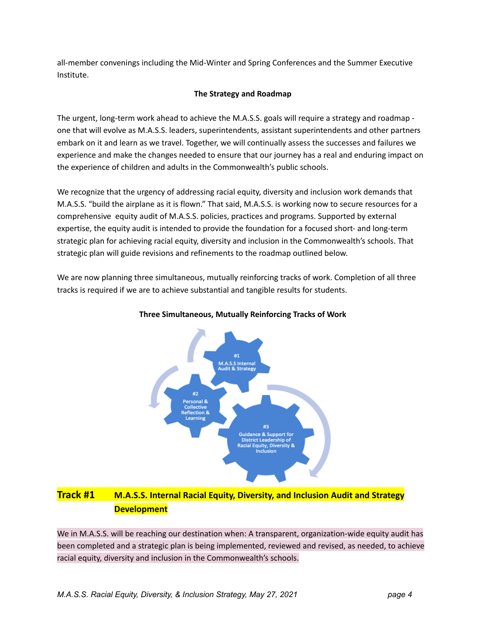all-member convenings including the Mid-Winter and Spring Conferences and the Summer Executive Institute.

# **The Strategy and Roadmap**

The urgent, long-term work ahead to achieve the M.A.S.S. goals will require a strategy and roadmap one that will evolve as M.A.S.S. leaders, superintendents, assistant superintendents and other partners embark on it and learn as we travel. Together, we will continually assess the successes and failures we experience and make the changes needed to ensure that our journey has a real and enduring impact on the experience of children and adults in the Commonwealth's public schools.

We recognize that the urgency of addressing racial equity, diversity and inclusion work demands that M.A.S.S. "build the airplane as it is flown." That said, M.A.S.S. is working now to secure resources for a comprehensive equity audit of M.A.S.S. policies, practices and programs. Supported by external expertise, the equity audit is intended to provide the foundation for a focused short- and long-term strategic plan for achieving racial equity, diversity and inclusion in the Commonwealth's schools. That strategic plan will guide revisions and refinements to the roadmap outlined below.

We are now planning three simultaneous, mutually reinforcing tracks of work. Completion of all three tracks is required if we are to achieve substantial and tangible results for students.



## **Three Simultaneous, Mutually Reinforcing Tracks of Work**

# **Track #1 M.A.S.S. Internal Racial Equity, Diversity, and Inclusion Audit and Strategy Development**

We in M.A.S.S. will be reaching our destination when: A transparent, organization-wide equity audit has been completed and a strategic plan is being implemented, reviewed and revised, as needed, to achieve racial equity, diversity and inclusion in the Commonwealth's schools.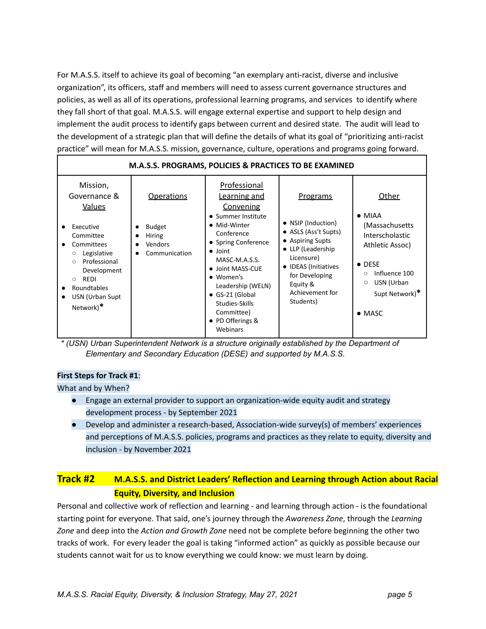For M.A.S.S. itself to achieve its goal of becoming "an exemplary anti-racist, diverse and inclusive organization", its officers, staff and members will need to assess current governance structures and policies, as well as all of its operations, professional learning programs, and services to identify where they fall short of that goal. M.A.S.S. will engage external expertise and support to help design and implement the audit process to identify gaps between current and desired state. The audit will lead to the development of a strategic plan that will define the details of what its goal of "prioritizing anti-racist practice" will mean for M.A.S.S. mission, governance, culture, operations and programs going forward.

| M.A.S.S. PROGRAMS, POLICIES & PRACTICES TO BE EXAMINED                                                                                                                                                                         |                                                                                 |                                                                                                                                                                                                                                                                                                          |                                                                                                                                                                                                            |                                                                                                                                                                                             |  |  |  |
|--------------------------------------------------------------------------------------------------------------------------------------------------------------------------------------------------------------------------------|---------------------------------------------------------------------------------|----------------------------------------------------------------------------------------------------------------------------------------------------------------------------------------------------------------------------------------------------------------------------------------------------------|------------------------------------------------------------------------------------------------------------------------------------------------------------------------------------------------------------|---------------------------------------------------------------------------------------------------------------------------------------------------------------------------------------------|--|--|--|
| Mission,<br>Governance &<br><b>Values</b><br>Executive<br>Committee<br>Committees<br>Legislative<br>O<br>Professional<br>$\Omega$<br>Development<br>REDI<br>$\circ$<br><b>Roundtables</b><br>USN (Urban Supt<br>٠<br>Network)* | <b>Operations</b><br><b>Budget</b><br><b>Hiring</b><br>Vendors<br>Communication | Professional<br>Learning and<br><u>Convening</u><br>• Summer Institute<br>• Mid-Winter<br>Conference<br>• Spring Conference<br>$\bullet$ Joint<br>MASC-M.A.S.S.<br>• Joint MASS-CUE<br>• Women's<br>Leadership (WELN)<br>• GS-21 (Global<br>Studies-Skills<br>Committee)<br>• PD Offerings &<br>Webinars | <b>Programs</b><br>• NSIP (Induction)<br>• ASLS (Ass't Supts)<br>• Aspiring Supts<br>• LLP (Leadership<br>Licensure)<br>• IDEAS (Initiatives<br>for Developing<br>Equity &<br>Achievement for<br>Students) | Other<br>$\bullet$ MIAA<br>(Massachusetts)<br>Interscholastic<br>Athletic Assoc)<br>$\bullet$ DESE<br>Influence 100<br>$\circ$<br>USN (Urban<br>$\circ$<br>Supt Network)*<br>$\bullet$ MASC |  |  |  |

*\* (USN) Urban Superintendent Network is a structure originally established by the Department of Elementary and Secondary Education (DESE) and supported by M.A.S.S.*

## **First Steps for Track #1**:

What and by When?

- Engage an external provider to support an organization-wide equity audit and strategy development process - by September 2021
- Develop and administer a research-based, Association-wide survey(s) of members' experiences and perceptions of M.A.S.S. policies, programs and practices as they relate to equity, diversity and inclusion - by November 2021

# **Track #2 M.A.S.S. and District Leaders' Reflection and Learning through Action about Racial Equity, Diversity, and Inclusion**

Personal and collective work of reflection and learning - and learning through action - is the foundational starting point for everyone. That said, one's journey through the *Awareness Zone*, through the *Learning Zone* and deep into the *Action and Growth Zone* need not be complete before beginning the other two tracks of work. For every leader the goal is taking "informed action" as quickly as possible because our students cannot wait for us to know everything we could know: we must learn by doing.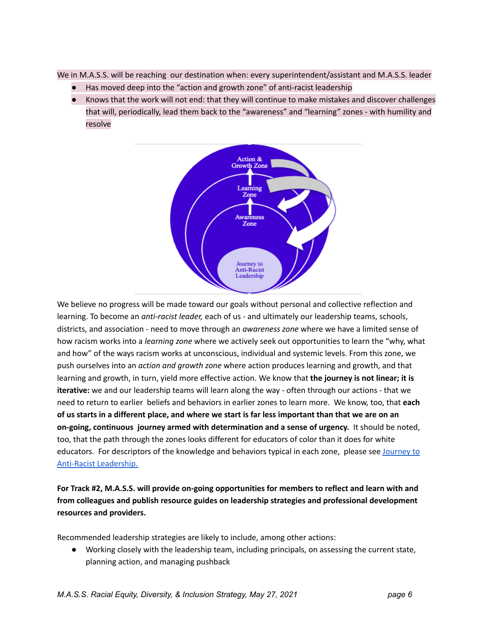We in M.A.S.S. will be reaching our destination when: every superintendent/assistant and M.A.S.S. leader

- Has moved deep into the "action and growth zone" of anti-racist leadership
- Knows that the work will not end: that they will continue to make mistakes and discover challenges that will, periodically, lead them back to the "awareness" and "learning" zones - with humility and resolve



We believe no progress will be made toward our goals without personal and collective reflection and learning. To become an *anti-racist leader,* each of us - and ultimately our leadership teams, schools, districts, and association - need to move through an *awareness zone* where we have a limited sense of how racism works into a *learning zone* where we actively seek out opportunities to learn the "why, what and how" of the ways racism works at unconscious, individual and systemic levels. From this zone, we push ourselves into an *action and growth zone* where action produces learning and growth, and that learning and growth, in turn, yield more effective action. We know that **the journey is not linear; it is iterative:** we and our leadership teams will learn along the way - often through our actions - that we need to return to earlier beliefs and behaviors in earlier zones to learn more. We know, too, that **each** of us starts in a different place, and where we start is far less important than that we are on an **on-going, continuous journey armed with determination and a sense of urgency.** It should be noted, too, that the path through the zones looks different for educators of color than it does for white educators. For descriptors of the knowledge and behaviors typical in each zone, please see [Journey](https://drive.google.com/file/d/1Kd3mW07R8AwYg-9vKKyONZIuhr_k7kel/view?usp=sharing) to Anti-Racist [Leadership.](https://drive.google.com/file/d/1Kd3mW07R8AwYg-9vKKyONZIuhr_k7kel/view?usp=sharing)

**For Track #2, M.A.S.S. will provide on-going opportunities for members to reflect and learn with and from colleagues and publish resource guides on leadership strategies and professional development resources and providers.**

Recommended leadership strategies are likely to include, among other actions:

● Working closely with the leadership team, including principals, on assessing the current state, planning action, and managing pushback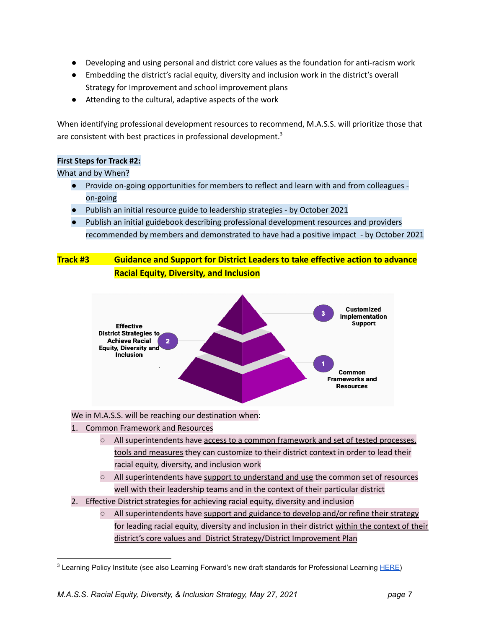- Developing and using personal and district core values as the foundation for anti-racism work
- Embedding the district's racial equity, diversity and inclusion work in the district's overall Strategy for Improvement and school improvement plans
- Attending to the cultural, adaptive aspects of the work

When identifying professional development resources to recommend, M.A.S.S. will prioritize those that are consistent with best practices in professional development.<sup>3</sup>

### **First Steps for Track #2:**

What and by When?

- Provide on-going opportunities for members to reflect and learn with and from colleagues on-going
- Publish an initial resource guide to leadership strategies by October 2021
- Publish an initial guidebook describing professional development resources and providers recommended by members and demonstrated to have had a positive impact - by October 2021

# **Track #3 Guidance and Support for District Leaders to take effective action to advance Racial Equity, Diversity, and Inclusion**



We in M.A.S.S. will be reaching our destination when:

- 1. Common Framework and Resources
	- All superintendents have access to a common framework and set of tested processes, tools and measures they can customize to their district context in order to lead their racial equity, diversity, and inclusion work
	- $\circ$  All superintendents have support to understand and use the common set of resources well with their leadership teams and in the context of their particular district
- 2. Effective District strategies for achieving racial equity, diversity and inclusion
	- All superintendents have support and guidance to develop and/or refine their strategy for leading racial equity, diversity and inclusion in their district within the context of their district's core values and District Strategy/District Improvement Plan

 $3$  Learning Policy Institute (see also Learning Forward's new draft standards for Professional Learning  $HERE$ )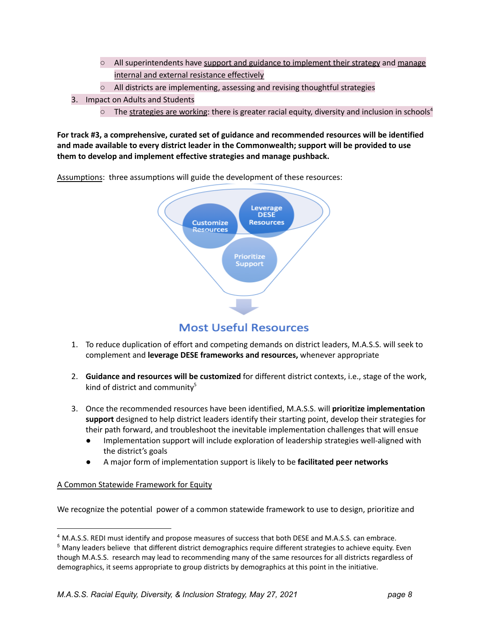- All superintendents have support and guidance to implement their strategy and manage internal and external resistance effectively
- All districts are implementing, assessing and revising thoughtful strategies
- 3. Impact on Adults and Students
	- $\circ$  The strategies are working: there is greater racial equity, diversity and inclusion in schools<sup>4</sup>

**For track #3, a comprehensive, curated set of guidance and recommended resources will be identified and made available to every district leader in the Commonwealth; support will be provided to use them to develop and implement effective strategies and manage pushback.**

Assumptions: three assumptions will guide the development of these resources:



- 1. To reduce duplication of effort and competing demands on district leaders, M.A.S.S. will seek to complement and **leverage DESE frameworks and resources,** whenever appropriate
- 2. **Guidance and resources will be customized** for different district contexts, i.e., stage of the work, kind of district and community 5
- 3. Once the recommended resources have been identified, M.A.S.S. will **prioritize implementation support** designed to help district leaders identify their starting point, develop their strategies for their path forward, and troubleshoot the inevitable implementation challenges that will ensue
	- Implementation support will include exploration of leadership strategies well-aligned with the district's goals
	- A major form of implementation support is likely to be **facilitated peer networks**

## A Common Statewide Framework for Equity

We recognize the potential power of a common statewide framework to use to design, prioritize and

<sup>4</sup> M.A.S.S. REDI must identify and propose measures of success that both DESE and M.A.S.S. can embrace.

<sup>5</sup> Many leaders believe that different district demographics require different strategies to achieve equity. Even though M.A.S.S. research may lead to recommending many of the same resources for all districts regardless of demographics, it seems appropriate to group districts by demographics at this point in the initiative.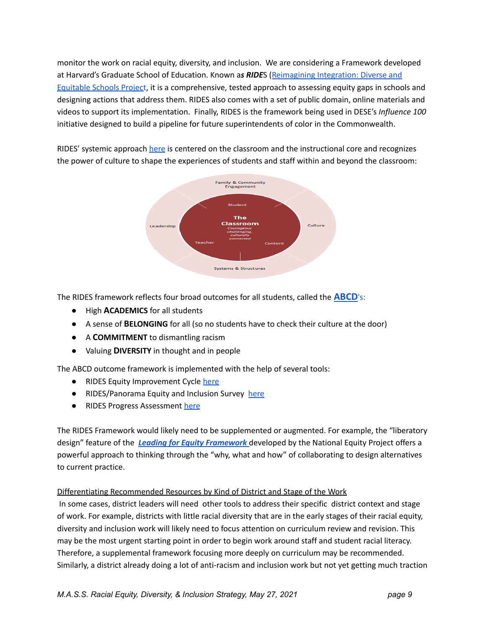monitor the work on racial equity, diversity, and inclusion. We are considering a Framework developed at Harvard's Graduate School of Education. Known a*s RIDE*S ([Reimagining](https://rides.gse.harvard.edu/historyofrides) Integration: Diverse and [Equitable](https://rides.gse.harvard.edu/historyofrides) Schools Project, it is a comprehensive, tested approach to assessing equity gaps in schools and designing actions that address them. RIDES also comes with a set of public domain, online materials and videos to support its implementation. Finally, RIDES is the framework being used in DESE's *Influence 100* initiative designed to build a pipeline for future superintendents of color in the Commonwealth.



RIDES' systemic approach [here](https://rides.gse.harvard.edu/systemic-improvement-map) is centered on the classroom and the instructional core and recognizes the power of culture to shape the experiences of students and staff within and beyond the classroom:

The RIDES framework reflects four broad outcomes for all students, called the **[ABCD](https://rides.gse.harvard.edu/abcds)**'s:

- High **ACADEMICS** for all students
- A sense of **BELONGING** for all (so no students have to check their culture at the door)
- A **COMMITMENT** to dismantling racism
- Valuing **DIVERSITY** in thought and in people

The ABCD outcome framework is implemented with the help of several tools:

- RIDES Equity Improvement Cycle [here](https://rides.gse.harvard.edu/equity-improvement-cycle)
- RIDES/Panorama Equity and Inclusion Survey [here](https://drive.google.com/file/d/1BPIU-9KxosltWTaZMIF7Sz1DeG9kCnMs/view?usp=sharing)
- RIDES Progress Assessment [here](https://rides.gse.harvard.edu/files/gse-rides/files/rides_progress_assessment_january_2019_01.pdf)

The RIDES Framework would likely need to be supplemented or augmented. For example, the "liberatory design" feature of the *Leading for Equity [Framework](https://drive.google.com/file/d/1k_qKSXE8Oa15PcuWiqRVH58NimeGNn0_/view?usp=sharing)* developed by the National Equity Project offers a powerful approach to thinking through the "why, what and how" of collaborating to design alternatives to current practice.

### Differentiating Recommended Resources by Kind of District and Stage of the Work

In some cases, district leaders will need other tools to address their specific district context and stage of work. For example, districts with little racial diversity that are in the early stages of their racial equity, diversity and inclusion work will likely need to focus attention on curriculum review and revision. This may be the most urgent starting point in order to begin work around staff and student racial literacy. Therefore, a supplemental framework focusing more deeply on curriculum may be recommended. Similarly, a district already doing a lot of anti-racism and inclusion work but not yet getting much traction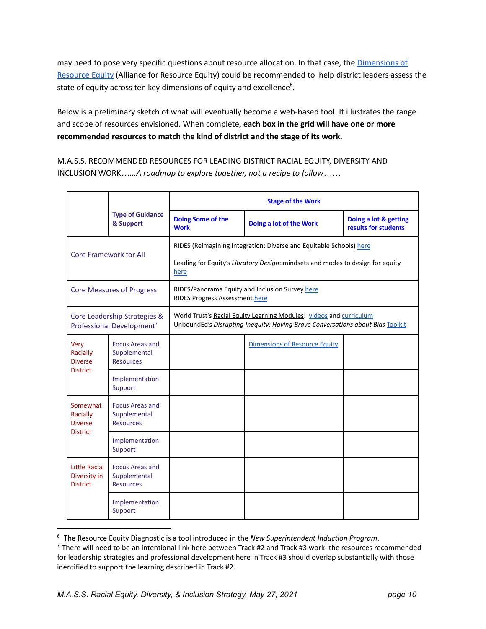may need to pose very specific questions about resource allocation. In that case, the [Dimensions](https://drive.google.com/file/d/1DoV9rmNF5IiLZ0orHbaKZOHl9WwuqUv3/view?usp=sharing) of [Resource](https://drive.google.com/file/d/1DoV9rmNF5IiLZ0orHbaKZOHl9WwuqUv3/view?usp=sharing) Equity (Alliance for Resource Equity) could be recommended to help district leaders assess the state of equity across ten key dimensions of equity and excellence<sup>6</sup>.

Below is a preliminary sketch of what will eventually become a web-based tool. It illustrates the range and scope of resources envisioned. When complete, **each box in the grid will have one or more recommended resources to match the kind of district and the stage of its work.**

M.A.S.S. RECOMMENDED RESOURCES FOR LEADING DISTRICT RACIAL EQUITY, DIVERSITY AND INCLUSION WORK*…...A roadmap to explore together, not a recipe to follow……*

|                                                                       |                                                            | <b>Stage of the Work</b>                                                                                                                                      |                                      |                                               |  |  |
|-----------------------------------------------------------------------|------------------------------------------------------------|---------------------------------------------------------------------------------------------------------------------------------------------------------------|--------------------------------------|-----------------------------------------------|--|--|
|                                                                       | <b>Type of Guidance</b><br>& Support                       | <b>Doing Some of the</b><br><b>Work</b>                                                                                                                       | Doing a lot of the Work              | Doing a lot & getting<br>results for students |  |  |
| <b>Core Framework for All</b>                                         |                                                            | RIDES (Reimagining Integration: Diverse and Equitable Schools) here<br>Leading for Equity's Libratory Design: mindsets and modes to design for equity<br>here |                                      |                                               |  |  |
| <b>Core Measures of Progress</b>                                      |                                                            | RIDES/Panorama Equity and Inclusion Survey here<br>RIDES Progress Assessment here                                                                             |                                      |                                               |  |  |
| Core Leadership Strategies &<br>Professional Development <sup>7</sup> |                                                            | World Trust's Racial Equity Learning Modules: videos and curriculum<br>UnboundEd's Disrupting Inequity: Having Brave Conversations about Bias Toolkit         |                                      |                                               |  |  |
| Very<br>Racially<br><b>Diverse</b><br><b>District</b>                 | <b>Focus Areas and</b><br>Supplemental<br><b>Resources</b> |                                                                                                                                                               | <b>Dimensions of Resource Equity</b> |                                               |  |  |
|                                                                       | Implementation<br>Support                                  |                                                                                                                                                               |                                      |                                               |  |  |
| Somewhat<br>Racially<br><b>Diverse</b><br><b>District</b>             | <b>Focus Areas and</b><br>Supplemental<br><b>Resources</b> |                                                                                                                                                               |                                      |                                               |  |  |
|                                                                       | Implementation<br>Support                                  |                                                                                                                                                               |                                      |                                               |  |  |
| <b>Little Racial</b><br>Diversity in<br><b>District</b>               | <b>Focus Areas and</b><br>Supplemental<br><b>Resources</b> |                                                                                                                                                               |                                      |                                               |  |  |
|                                                                       | Implementation<br>Support                                  |                                                                                                                                                               |                                      |                                               |  |  |

<sup>6</sup> The Resource Equity Diagnostic is a tool introduced in the *New Superintendent Induction Program*.

 $^7$  There will need to be an intentional link here between Track #2 and Track #3 work: the resources recommended for leadership strategies and professional development here in Track #3 should overlap substantially with those identified to support the learning described in Track #2.